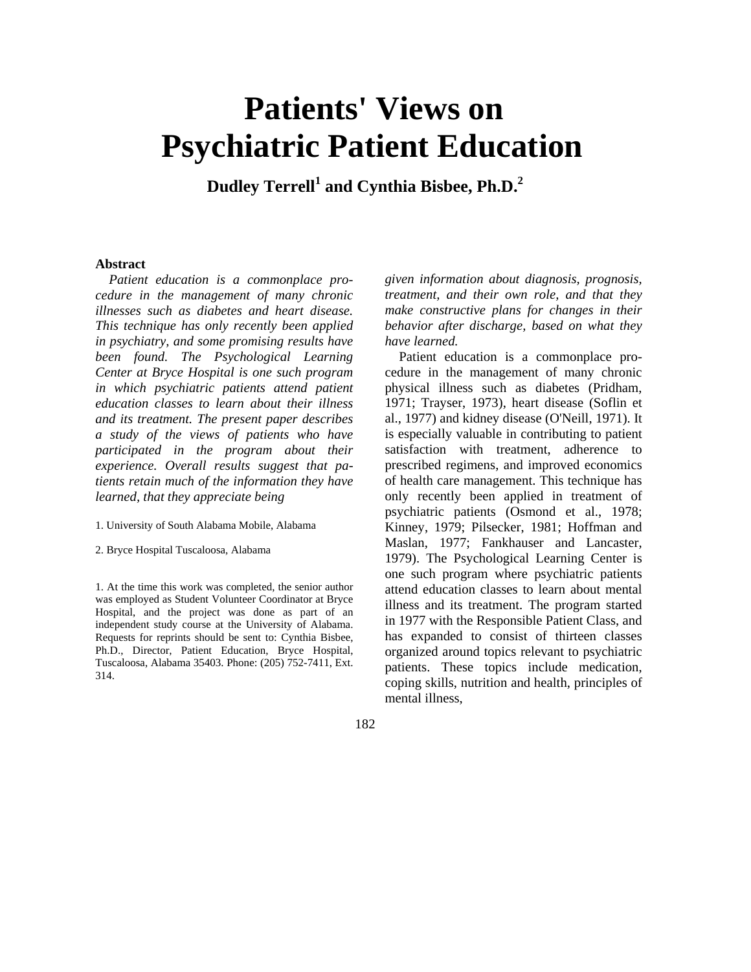# **Patients' Views on Psychiatric Patient Education**

 **Dudley Terrell<sup>1</sup> and Cynthia Bisbee, Ph.D.2**

## **Abstract**

*Patient education is a commonplace procedure in the management of many chronic illnesses such as diabetes and heart disease. This technique has only recently been applied in psychiatry, and some promising results have been found. The Psychological Learning Center at Bryce Hospital is one such program in which psychiatric patients attend patient education classes to learn about their illness and its treatment. The present paper describes a study of the views of patients who have participated in the program about their experience. Overall results suggest that patients retain much of the information they have learned, that they appreciate being*

- 1. University of South Alabama Mobile, Alabama
- 2. Bryce Hospital Tuscaloosa, Alabama

1. At the time this work was completed, the senior author was employed as Student Volunteer Coordinator at Bryce Hospital, and the project was done as part of an independent study course at the University of Alabama. Requests for reprints should be sent to: Cynthia Bisbee, Ph.D., Director, Patient Education, Bryce Hospital, Tuscaloosa, Alabama 35403. Phone: (205) 752-7411, Ext. 314.

*given information about diagnosis, prognosis, treatment, and their own role, and that they make constructive plans for changes in their behavior after discharge, based on what they have learned.*

Patient education is a commonplace procedure in the management of many chronic physical illness such as diabetes (Pridham, 1971; Trayser, 1973), heart disease (Soflin et al., 1977) and kidney disease (O'Neill, 1971). It is especially valuable in contributing to patient satisfaction with treatment, adherence to prescribed regimens, and improved economics of health care management. This technique has only recently been applied in treatment of psychiatric patients (Osmond et al., 1978; Kinney, 1979; Pilsecker, 1981; Hoffman and Maslan, 1977; Fankhauser and Lancaster, 1979). The Psychological Learning Center is one such program where psychiatric patients attend education classes to learn about mental illness and its treatment. The program started in 1977 with the Responsible Patient Class, and has expanded to consist of thirteen classes organized around topics relevant to psychiatric patients. These topics include medication, coping skills, nutrition and health, principles of mental illness,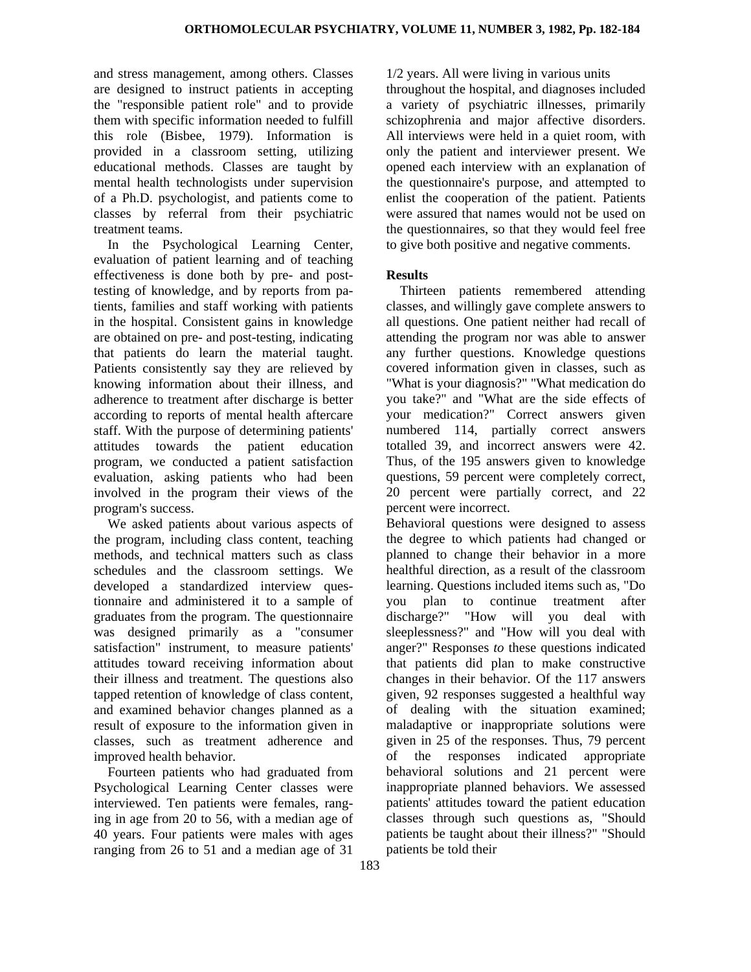and stress management, among others. Classes are designed to instruct patients in accepting the "responsible patient role" and to provide them with specific information needed to fulfill this role (Bisbee, 1979). Information is provided in a classroom setting, utilizing educational methods. Classes are taught by mental health technologists under supervision of a Ph.D. psychologist, and patients come to classes by referral from their psychiatric treatment teams.

In the Psychological Learning Center, evaluation of patient learning and of teaching effectiveness is done both by pre- and posttesting of knowledge, and by reports from patients, families and staff working with patients in the hospital. Consistent gains in knowledge are obtained on pre- and post-testing, indicating that patients do learn the material taught. Patients consistently say they are relieved by knowing information about their illness, and adherence to treatment after discharge is better according to reports of mental health aftercare staff. With the purpose of determining patients' attitudes towards the patient education program, we conducted a patient satisfaction evaluation, asking patients who had been involved in the program their views of the program's success.

We asked patients about various aspects of the program, including class content, teaching methods, and technical matters such as class schedules and the classroom settings. We developed a standardized interview questionnaire and administered it to a sample of graduates from the program. The questionnaire was designed primarily as a "consumer satisfaction" instrument, to measure patients' attitudes toward receiving information about their illness and treatment. The questions also tapped retention of knowledge of class content, and examined behavior changes planned as a result of exposure to the information given in classes, such as treatment adherence and improved health behavior.

Fourteen patients who had graduated from Psychological Learning Center classes were interviewed. Ten patients were females, ranging in age from 20 to 56, with a median age of 40 years. Four patients were males with ages ranging from 26 to 51 and a median age of 31

1/2 years. All were living in various units

throughout the hospital, and diagnoses included a variety of psychiatric illnesses, primarily schizophrenia and major affective disorders. All interviews were held in a quiet room, with only the patient and interviewer present. We opened each interview with an explanation of the questionnaire's purpose, and attempted to enlist the cooperation of the patient. Patients were assured that names would not be used on the questionnaires, so that they would feel free to give both positive and negative comments.

## **Results**

Thirteen patients remembered attending classes, and willingly gave complete answers to all questions. One patient neither had recall of attending the program nor was able to answer any further questions. Knowledge questions covered information given in classes, such as "What is your diagnosis?" "What medication do you take?" and "What are the side effects of your medication?" Correct answers given numbered 114, partially correct answers totalled 39, and incorrect answers were 42. Thus, of the 195 answers given to knowledge questions, 59 percent were completely correct, 20 percent were partially correct, and 22 percent were incorrect.

Behavioral questions were designed to assess the degree to which patients had changed or planned to change their behavior in a more healthful direction, as a result of the classroom learning. Questions included items such as, "Do you plan to continue treatment after discharge?" "How will you deal with sleeplessness?" and "How will you deal with anger?" Responses *to* these questions indicated that patients did plan to make constructive changes in their behavior. Of the 117 answers given, 92 responses suggested a healthful way of dealing with the situation examined; maladaptive or inappropriate solutions were given in 25 of the responses. Thus, 79 percent of the responses indicated appropriate behavioral solutions and 21 percent were inappropriate planned behaviors. We assessed patients' attitudes toward the patient education classes through such questions as, "Should patients be taught about their illness?" "Should patients be told their